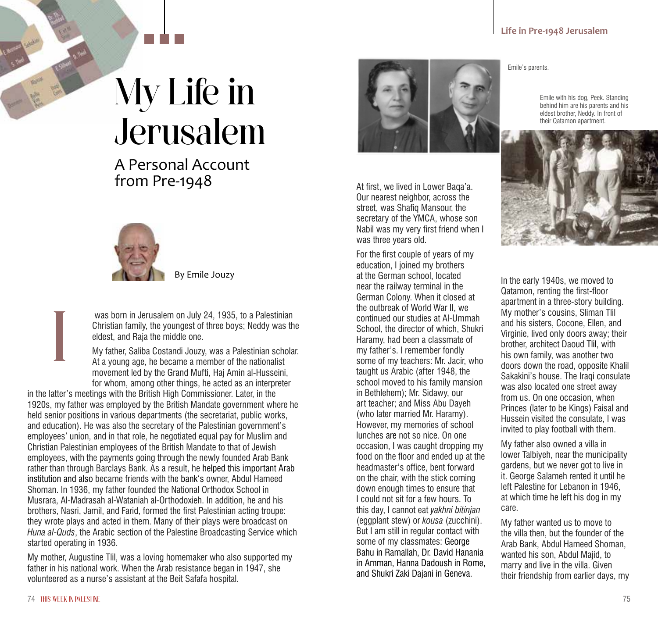## My Life in Jerusalem

A Personal Account from Pre-1948



By Emile Jouzy

 was born in Jerusalem on July 24, 1935, to a Palestinian Christian family, the youngest of three boys; Neddy was the eldest, and Raja the middle one.

My father, Saliba Costandi Jouzy, was a Palestinian scholar. At a young age, he became a member of the nationalist movement led by the Grand Mufti, Haj Amin al-Husseini, for whom, among other things, he acted as an interpreter

in the latter's meetings with the British High Commissioner. Later, in the 1920s, my father was employed by the British Mandate government where he held senior positions in various departments (the secretariat, public works, and education). He was also the secretary of the Palestinian government's employees' union, and in that role, he negotiated equal pay for Muslim and Christian Palestinian employees of the British Mandate to that of Jewish employees, with the payments going through the newly founded Arab Bank rather than through Barclays Bank. As a result, he helped this important Arab institution and also became friends with the bank's owner, Abdul Hameed Shoman. In 1936, my father founded the National Orthodox School in Musrara, Al-Madrasah al-Wataniah al-Orthodoxieh. In addition, he and his brothers, Nasri, Jamil, and Farid, formed the first Palestinian acting troupe: they wrote plays and acted in them. Many of their plays were broadcast on *Huna al-Quds*, the Arabic section of the Palestine Broadcasting Service which started operating in 1936.

My mother, Augustine Tlil, was a loving homemaker who also supported my father in his national work. When the Arab resistance began in 1947, she volunteered as a nurse's assistant at the Beit Safafa hospital.



At first, we lived in Lower Baqa'a. Our nearest neighbor, across the street, was Shafiq Mansour, the secretary of the YMCA, whose son Nabil was my very first friend when I was three years old.

For the first couple of years of my education, I joined my brothers at the German school, located near the railway terminal in the German Colony. When it closed at the outbreak of World War II, we continued our studies at Al-Ummah School, the director of which, Shukri Haramy, had been a classmate of my father's. I remember fondly some of my teachers: Mr. Jacir, who taught us Arabic (after 1948, the school moved to his family mansion in Bethlehem); Mr. Sidawy, our art teacher; and Miss Abu Dayeh (who later married Mr. Haramy). However, my memories of school lunches are not so nice. On one occasion, I was caught dropping my food on the floor and ended up at the headmaster's office, bent forward on the chair, with the stick coming down enough times to ensure that I could not sit for a few hours. To this day, I cannot eat *yakhni bitinjan* (eggplant stew) or *kousa* (zucchini). But I am still in regular contact with some of my classmates: George Bahu in Ramallah, Dr. David Hanania in Amman, Hanna Dadoush in Rome, and Shukri Zaki Dajani in Geneva.

Emile's parents.

Emile with his dog, Peek. Standing behind him are his parents and his eldest brother, Neddy. In front of their Qatamon apartment.



In the early 1940s, we moved to Qatamon, renting the first-floor apartment in a three-story building. My mother's cousins, Sliman Tlil and his sisters, Cocone, Ellen, and Virginie, lived only doors away; their brother, architect Daoud Tlil, with his own family, was another two doors down the road, opposite Khalil Sakakini's house. The Iraqi consulate was also located one street away from us. On one occasion, when Princes (later to be Kings) Faisal and Hussein visited the consulate, I was invited to play football with them.

My father also owned a villa in lower Talbiyeh, near the municipality gardens, but we never got to live in it. George Salameh rented it until he left Palestine for Lebanon in 1946, at which time he left his dog in my care.

My father wanted us to move to the villa then, but the founder of the Arab Bank, Abdul Hameed Shoman, wanted his son, Abdul Majid, to marry and live in the villa. Given their friendship from earlier days, my

I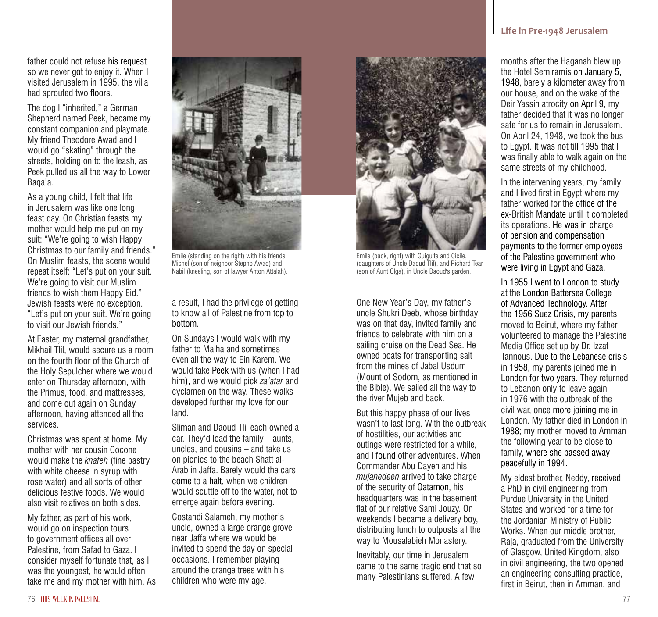father could not refuse his request so we never got to enjoy it. When I visited Jerusalem in 1995, the villa had sprouted two floors.

The dog I "inherited," a German Shepherd named Peek, became my constant companion and playmate. My friend Theodore Awad and I would go "skating" through the streets, holding on to the leash, as Peek pulled us all the way to Lower Baqa'a.

As a young child, I felt that life in Jerusalem was like one long feast day. On Christian feasts my mother would help me put on my suit: "We're going to wish Happy Christmas to our family and friends." On Muslim feasts, the scene would repeat itself: "Let's put on your suit. We're going to visit our Muslim friends to wish them Happy Eid." Jewish feasts were no exception. "Let's put on your suit. We're going to visit our Jewish friends."

At Easter, my maternal grandfather, Mikhail Tlil, would secure us a room on the fourth floor of the Church of the Holy Sepulcher where we would enter on Thursday afternoon, with the Primus, food, and mattresses, and come out again on Sunday afternoon, having attended all the services.

Christmas was spent at home. My mother with her cousin Cocone would make the *knafeh* (fine pastry with white cheese in syrup with rose water) and all sorts of other delicious festive foods. We would also visit relatives on both sides.

My father, as part of his work, would go on inspection tours to government offices all over Palestine, from Safad to Gaza. I consider myself fortunate that, as I was the youngest, he would often take me and my mother with him. As



Emile (standing on the right) with his friends Michel (son of neighbor Stepho Awad) and Nabil (kneeling, son of lawyer Anton Attalah).

a result, I had the privilege of getting to know all of Palestine from top to bottom.

On Sundays I would walk with my father to Malha and sometimes even all the way to Ein Karem. We would take Peek with us (when I had him), and we would pick *za'atar* and cyclamen on the way. These walks developed further my love for our land.

Sliman and Daoud Tlil each owned a car. They'd load the family – aunts, uncles, and cousins – and take us on picnics to the beach Shatt al-Arab in Jaffa. Barely would the cars come to a halt, when we children would scuttle off to the water, not to emerge again before evening.

Costandi Salameh, my mother's uncle, owned a large orange grove near Jaffa where we would be invited to spend the day on special occasions. I remember playing around the orange trees with his children who were my age.



Emile (back, right) with Guiguite and Cicile, (daughters of Uncle Daoud Tlil), and Richard Tear (son of Aunt Olga), in Uncle Daoud's garden.

One New Year's Day, my father's uncle Shukri Deeb, whose birthday was on that day, invited family and friends to celebrate with him on a sailing cruise on the Dead Sea. He owned boats for transporting salt from the mines of Jabal Usdum (Mount of Sodom, as mentioned in the Bible). We sailed all the way to the river Mujeb and back.

But this happy phase of our lives wasn't to last long. With the outbreak of hostilities, our activities and outings were restricted for a while, and I found other adventures. When Commander Abu Dayeh and his *mujahedeen* arrived to take charge of the security of Qatamon, his headquarters was in the basement flat of our relative Sami Jouzy. On weekends I became a delivery boy, distributing lunch to outposts all the way to Mousalabieh Monastery.

Inevitably, our time in Jerusalem came to the same tragic end that so many Palestinians suffered. A few

## **Life in Pre-1948 Jerusalem**

months after the Haganah blew up the Hotel Semiramis on January 5, 1948, barely a kilometer away from our house, and on the wake of the Deir Yassin atrocity on April 9, my father decided that it was no longer safe for us to remain in Jerusalem. On April 24, 1948, we took the bus to Egypt. It was not till 1995 that I was finally able to walk again on the same streets of my childhood.

In the intervening years, my family and I lived first in Egypt where my father worked for the office of the ex-British Mandate until it completed its operations. He was in charge of pension and compensation payments to the former employees of the Palestine government who were living in Egypt and Gaza.

In 1955 I went to London to study at the London Battersea College of Advanced Technology. After the 1956 Suez Crisis, my parents moved to Beirut, where my father volunteered to manage the Palestine Media Office set up by Dr. Izzat Tannous. Due to the Lebanese crisis in 1958, my parents joined me in London for two years. They returned to Lebanon only to leave again in 1976 with the outbreak of the civil war, once more joining me in London. My father died in London in 1988; my mother moved to Amman the following year to be close to family, where she passed away peacefully in 1994.

My eldest brother, Neddy, received a PhD in civil engineering from Purdue University in the United States and worked for a time for the Jordanian Ministry of Public Works. When our middle brother, Raja, graduated from the University of Glasgow, United Kingdom, also in civil engineering, the two opened an engineering consulting practice, first in Beirut, then in Amman, and